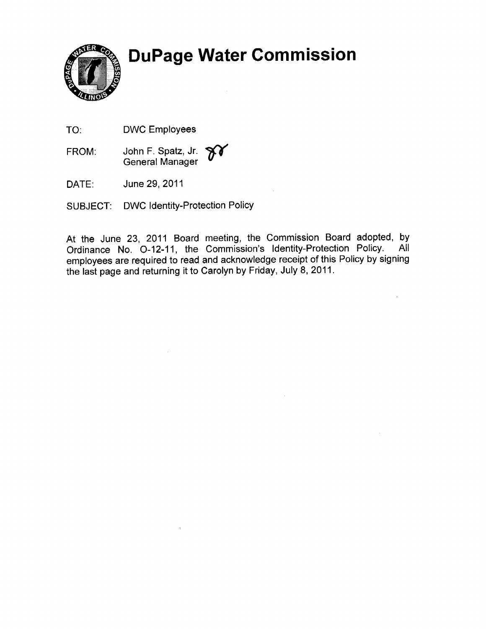**DuPage Water Commission** 



TO: DWC Employees

FROM: John F. Spatz, Jr. General Manager

DATE: June 29, 2011

SUBJECT: DWC ldentity-Protection Policy

At the June 23, 2011 Board meeting, the Commission Board adopted, by Ordinance No. 0-12-11, the Commission's Identity-Protection Policy. All Ordinance No. O-12-11, the Commission's Identity-Protection Policy. employees are required to read and acknowledge receipt of this Policy by signing the last page and returning it to Carolyn by Friday, July 8, 2011 '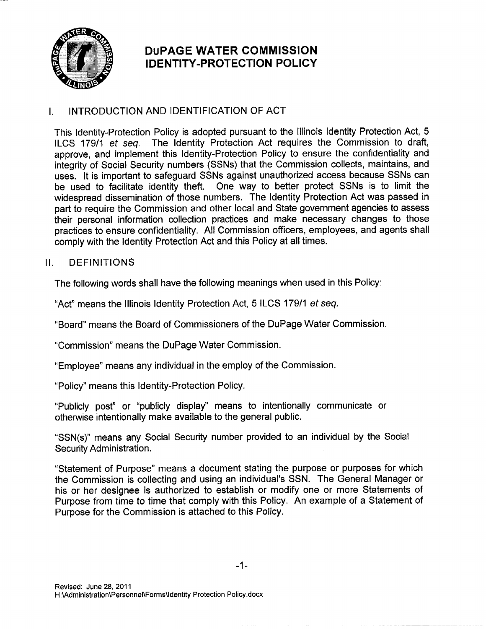

# DUPAGE WATER COMMISSION <sup>I</sup>DENTITY.PROTEGTION POLICY

# I. INTRODUCTION AND IDENTIFICATION OF ACT

This ldentity-Protection Policy is adopted pursuant to the lllinois ldentity Protection Act, 5 ILCS 179/1 et seq. The Identity Protection Act requires the Commission to draft, approve, and implement this ldentity-Protection Policy to ensure the confidentiality and integrity of Social Security numbers (SSNs) that the Commission collects, maintains, and uses. lt is important to safeguard SSNs against unauthorized access because SSNs can be used to facilitate identity theft. One way to better protect SSNs is to limit the widespread dissemination of those numbers. The ldentity Protection Act was passed in part to require the Commission and other local and State government agencies to assess their personal information collection practices and make necessary changes to those practices to ensure confidentiality. All Commission officers, employees, and agents shall comply with the ldentity Protection Act and this Policy at all times.

## II. DEFINITIONS

The following words shall have the following meanings when used in this Policy:

"Act" means the lllinois ldentity Protection Act, 5 ILCS 179/1 ef seg.

"Board" means the Board of Commissioners of the DuPage Water Commission.

"Commission" means the DuPage Water Commission.

"Employee" means any individual in the employ of the Commission.

"Policy" means this ldentity-Protection Policy.

"Publicly post" or "publicly display" means to intentionally communicate or otherwise intentionally make available to the general public.

"SSN(s)" means any Social Security number provided to an individual by the Social Security Administration.

"statement of Purpose" means a document stating the purpose or purposes for which the Commission is collecting and using an individual's SSN. The General Manager or his or her designee is authorized to establish or modify one or more Statements of Purpose from time to time that comply with this Policy. An example of a Statement of Purpose for the Commission is attached to this Policy.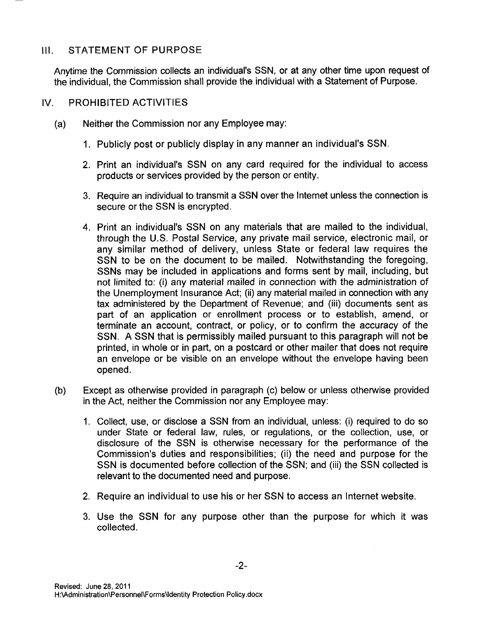#### $III.$ STATEMENT OF PURPOSE

Anytime the Commission collects an individual's SSN, or at any other time upon request of the individual, the Commission shall provide the individual with a Statement of Purpose.

#### tv. PROHIBITED ACTIVITIES

- (a) Neither the Commission nor any Employee may:
	- Publicly post or publicly display in any manner an individual's SSN. 1.
	- Print an individual's SSN on any card required for the individual to access 2. products or services provided by the person or entity.
	- 3. Require an individual to transmit a SSN over the Internet unless the connection is secure or the SSN is encrypted.
	- Print an individual's SSN on any materials that are mailed to the individual, 4. through the U.S. Postal \$ervice, any private mail service, electronic mail, or any similar method of delivery, unless State or federal law requires the SSN to be on the document to be mailed. Notwithstanding the foregoing, SSNs may be included in applications and forms sent by mail, including, but not limited to: (i) any material mailed in connection with the administration of the Unemployment Insurance Act; (ii) any material mailed in connection with any tax administered by the Department of Revenue; and (iii) documents sent as part of an application or enrollment process or to establish, amend, or terminate an account, contract, or policv, or to confirm the accuracy of the SSN. A SSN that is permissibly mailed pursuant to this paragraph will not be printed, in whole or in part, on a postcard or other mailer that does not require an envelope or be visible on an envelope without the envelope having been opened.
- Except as otherwise provided in paragraph (c) below or unless otherwise provided in the Act, neither the Commission nor any Employee may: (b)
	- Collect, use, or disclose a SSN from an individual, unless: (i) required to do so 1.under State or federal law, rules, or regulations, or the collection, use, or disclosure of the SSN is otherwise necessary for the performance of the Commission's duties and responsibilities; (ii) the need and purpose for the SSN is documented before collection of the SSN; and (iii) the SSN collected is relevant to the documented need and purpose.
	- Require an individual to use his or her SSN to access an Internet website. 2.
	- Use the \$SN for any purpose other than the purpose for which it was 3. collected.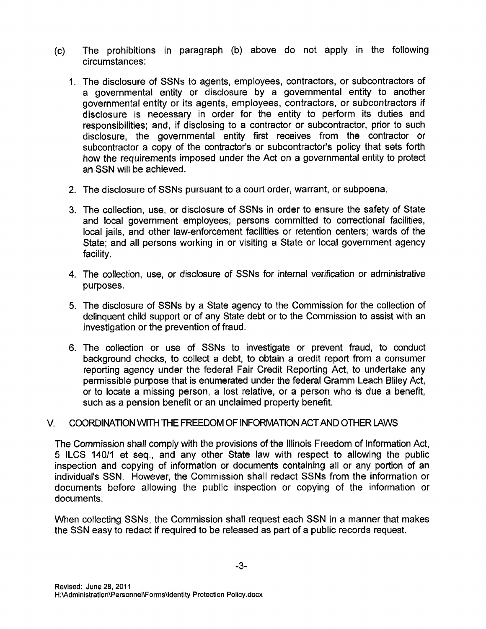- (c) The prohibitions in paragraph (b) above do not apply in the following circumstances:
	- 1. The disclosure of SSNs to agents, employees, contractors, or subcontractors of a governmental entity or disclosure by a governmental entity to another governmental entity or its agents, employees, contractors, or subcontractors if disclosure is necessary in order for the entity to perform its duties and responsibilities; and, if disclosing to a contractor or subcontractor, prior to such disclosure, the governmental entity first receives from the contractor or subcontractor a copy of the contractor's or subcontractor's policy that sets forth how the requirements imposed under the Act on a governmental entity to protect an SSN will be achieved.
	- 2. The disclosure of SSNs pursuant to a court order, warrant, or subpoena,
	- 3. The collection, use, or disclosure of SSNs in order to ensure the safety of State and local government employees; persons committed to correctional facilities, local jails, and other law-enforcement facilities or retention centers; wards of the State; and all persons working in or visiting a State or local government agency facility.
	- 4. The collection, use, or disclosure of S\$Ns for internal verification or administrative purposes.
	- 5. The disclosure of SSNs by a State agency to the Commission for the collection of delinquent child support or of any State debt or to the Commission to assist with an investigation or the prevention of fraud.
	- 6. The collection or use of SSNs to investigate or prevent fraud, to conduct background checks, to collect a debt, to obtain a credit repoft from a consumer reporting agency under the federal Fair Credit Reporting Act, to undertake any permissible purpose that is enumerated under the federal Gramm Leach Bliley Act, or to locate a missing person, a lost relative, or a person who is due a benefit, such as a pension benefit or an unclaimed property benefit.

### V. COORDINATION WITH THE FREEDOM OF INFORMATION ACT AND OTHER LAWS

The Commission shall comply with the provisions of the lllinois Freedom of lnformation Act, 5 ILCS 14011 et seq., and any other State law with respect to allowing the public inspection and copying of information or documents containing all or any portion of an individual's SSN. However, the Commission shall redact SSNs from the information or documents before allowing the public inspection or copying of the information or documents.

When collecting SSNs, the Commission shall request each SSN in a manner that makes the SSN easy to redact if required to be released as part of a public records request.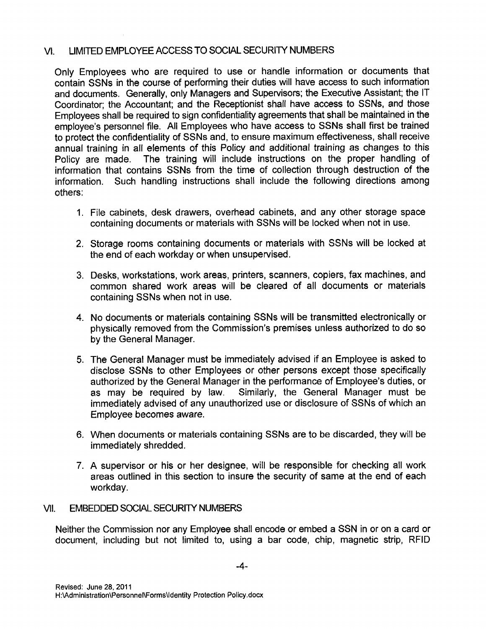#### VI. LIMITED EMPLOYEE ACCESS TO SOCIAL SECURITY NUMBERS

Only Employees who are required to use or handle information or documents that contain SSNs in the course of performing their duties will have access to such information and documents. Generally, only Managers and Supervisors; the Executive Assistant; the lT Coordinator; the Accountant; and the Receptionist shall have access to SSNs, and those Employees shall be required to sign confidentiality agreements that shall be maintained in the employee's personnel file. All Employees who have access to SSNs shall first be trained to protect the confidentiality of SSNs and, to ensure maximum effectiveness, shall receive annual training in all elements of this Policy and additional training as changes to this The training will include instructions on the proper handling of information that contains \$\$Ns from the time of collection through destruction of the information. Such handling instructions shall include the following directions among others:

- 1. File cabinets, desk drawers, overhead cabinets, and any other storage space containing documents or materials with SSNs will be locked when not in use.
- 2. Storage rooms containing documents or materials with SSNs will be locked at the end of each workday or when unsupervised.
- 3. Desks, workstations, work areas, printers, scanners, copiers, fax machines, and common shared work areas will be cleared of all documents or materials containing SSNs when not in use.
- 4. No documents or materials containing SSNs will be transmitted electronically or physically removed from the Commission's premises unless authorized to do so by the General Manager.
- 5. The General Manager must be immediately advised if an Employee is asked to disclose S\$Ns to other Employees or other persons except those specifically authorized by the General Manager in the performance of Employee's duties, or as may be required by law. Similarly, the General Manager must be Similarly, the General Manager must be immediately advised of any unauthorized use or disclosure of SSNs of which an Employee becomes aware.
- 6. When documents or materials containing SSNs are to be discarded, they will be immediately shredded.
- 7. A supervisor or his or her designee, will be responsible for checking all work areas outlined in this section to insure the security of same at the end of each workday.

#### VII. EMBEDDED SOCIAL SECURITY NUMBERS

Neither the Commission nor any Employee shall encode or embed a SSN in or on a card or document, including but not limited to, using a bar code, chip, magnetic strip, RFID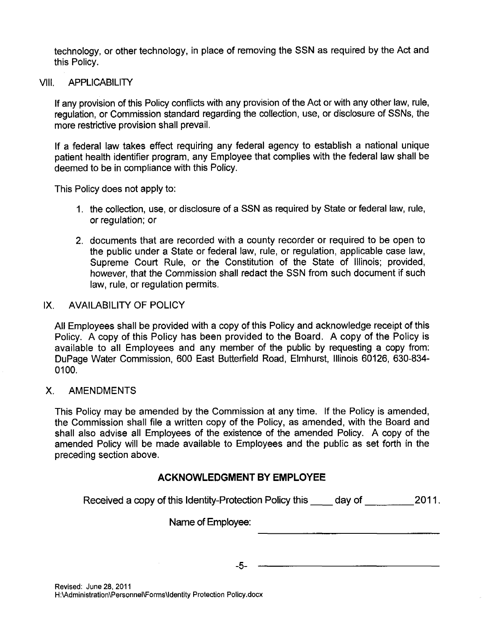technology, or other technology, in place of removing the SSN as required by the Act and this Policy.

#### VIII. APPLICABILITY

lf any provision of this Policy conflicts with any provision of the Act or with any other law, rule, regulation, or Commission standard regarding the collection, use, or disclosure of SSNs, the more restrictive provision shall prevail.

lf a federal law takes effect requiring any federal agency to establish a national unique patient health identifier program, any Employee that complies with the federal law shall be deemed to be in compliance with this Policy.

This Policy does not apply to:

- 1. the collection, use, or disclosure of a SSN as required by State or federal law, rule, or regulation; or
- 2. documents that are recorded with a county recorder or required to be open to the public under a State or federal law, rule, or regulation, applicable case law, Supreme Court Rule, or the Constitution of the State of lllinois; provided, however, that the Commission shall redact the SSN from such document if such law, rule, or regulation permits.

### IX. AVAILABILITY OF POLICY

Afl Employees shall be provided with a copy of this Policy and acknowledge receipt of this Policy. A copy of this Policy has been provided to the Board. A copy of the Policy is available to all Employees and any member of the public by requesting a copy from: DuPage Water Commission, 600 East Butterfield Road, Elmhurst, lllinois 60126, 630-834- 0100.

### X. AMENDMENTS

This Policy may be amended by the Commission at any time. lf the Policy is amended, the Commission shall file a written copy of the Policy, as amended, with the Board and shall also advise all Employees of the existence of the amended Policy. A copy of the amended Policy will be made available to Employees and the public as set forth in the preceding section above.

# ACKNOWLEDGMENT BY EMPLOYEE

Received a copy of this Identity-Protection Policy this day of 2011.

Name of Employee:

-5-

Revised: June 28, 2011 <sup>H</sup>:\Administration\Personnel\Forms\ldentity Protection Policy.docx